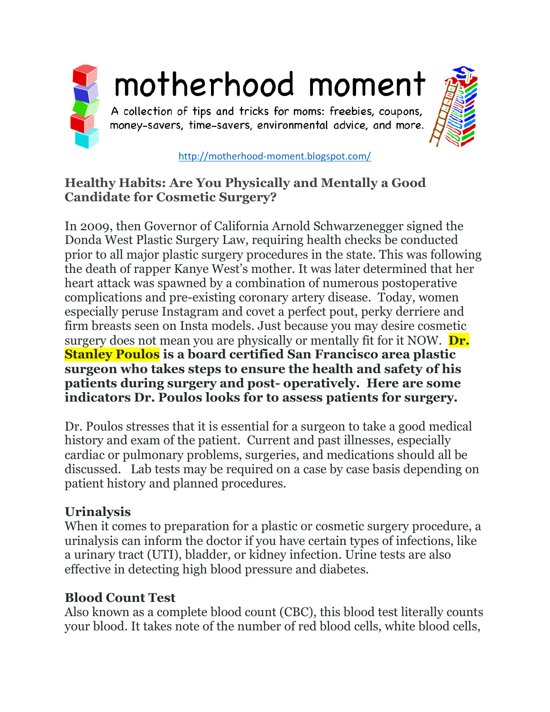

#### <http://motherhood-moment.blogspot.com/>

#### **Healthy Habits: Are You Physically and Mentally a Good Candidate for Cosmetic Surgery?**

In 2009, then Governor of California Arnold Schwarzenegger signed the Donda West Plastic Surgery Law, requiring health checks be conducted prior to all major plastic surgery procedures in the state. This was following the death of rapper Kanye West's mother. It was later determined that her heart attack was spawned by a combination of numerous postoperative complications and pre-existing coronary artery disease. Today, women especially peruse Instagram and covet a perfect pout, perky derriere and firm breasts seen on Insta models. Just because you may desire cosmetic surgery does not mean you are physically or mentally fit for it NOW. **Dr. Stanley Poulos is a board certified San Francisco area plastic surgeon who takes steps to ensure the health and safety of his patients during surgery and post- operatively. Here are some indicators Dr. Poulos looks for to assess patients for surgery.**

Dr. Poulos stresses that it is essential for a surgeon to take a good medical history and exam of the patient. Current and past illnesses, especially cardiac or pulmonary problems, surgeries, and medications should all be discussed. Lab tests may be required on a case by case basis depending on patient history and planned procedures.

### **Urinalysis**

When it comes to preparation for a plastic or cosmetic surgery procedure, a urinalysis can inform the doctor if you have certain types of infections, like a urinary tract (UTI), bladder, or kidney infection. Urine tests are also effective in detecting high blood pressure and diabetes.

#### **Blood Count Test**

Also known as a complete blood count (CBC), this blood test literally counts your blood. It takes note of the number of red blood cells, white blood cells,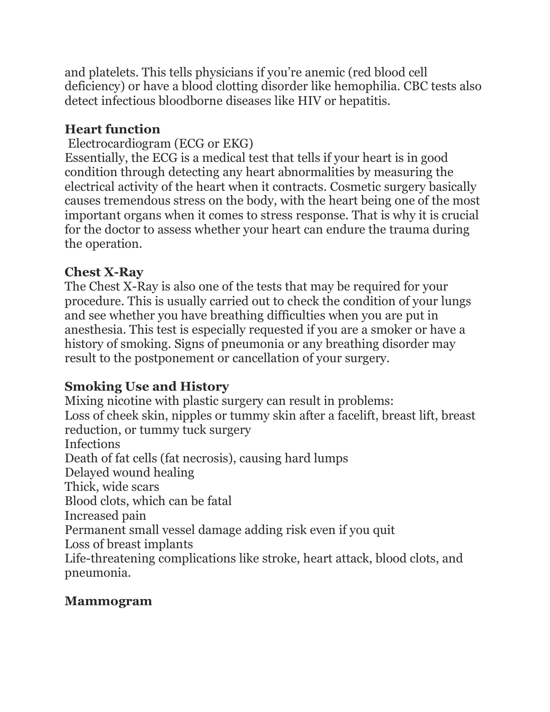and platelets. This tells physicians if you're anemic (red blood cell deficiency) or have a blood clotting disorder like hemophilia. CBC tests also detect infectious bloodborne diseases like HIV or hepatitis.

### **Heart function**

### Electrocardiogram (ECG or EKG)

Essentially, the ECG is a medical test that tells if your heart is in good condition through detecting any heart abnormalities by measuring the electrical activity of the heart when it contracts. Cosmetic surgery basically causes tremendous stress on the body, with the heart being one of the most important organs when it comes to stress response. That is why it is crucial for the doctor to assess whether your heart can endure the trauma during the operation.

### **Chest X-Ray**

The Chest X-Ray is also one of the tests that may be required for your procedure. This is usually carried out to check the condition of your lungs and see whether you have breathing difficulties when you are put in anesthesia. This test is especially requested if you are a smoker or have a history of smoking. Signs of pneumonia or any breathing disorder may result to the postponement or cancellation of your surgery.

## **Smoking Use and History**

Mixing nicotine with plastic surgery can result in problems: Loss of cheek skin, nipples or tummy skin after a facelift, breast lift, breast reduction, or tummy tuck surgery Infections Death of fat cells (fat necrosis), causing hard lumps Delayed wound healing Thick, wide scars Blood clots, which can be fatal Increased pain Permanent small vessel damage adding risk even if you quit Loss of breast implants Life-threatening complications like stroke, heart attack, blood clots, and pneumonia.

## **Mammogram**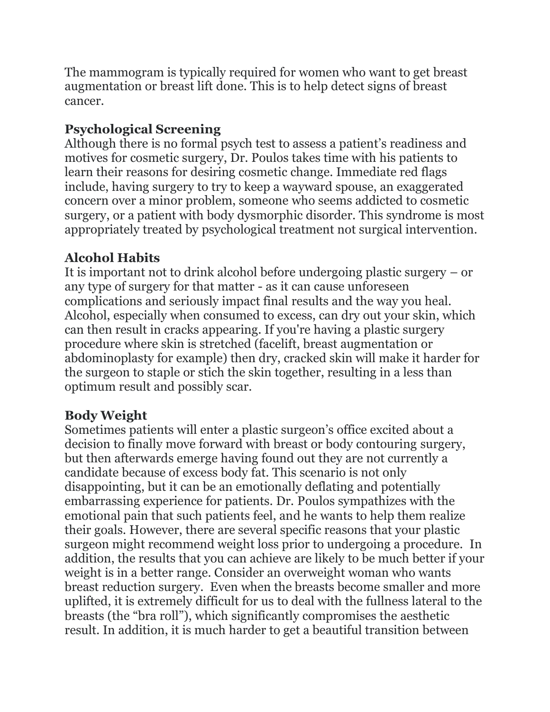The mammogram is typically required for women who want to get breast augmentation or breast lift done. This is to help detect signs of breast cancer.

## **Psychological Screening**

Although there is no formal psych test to assess a patient's readiness and motives for cosmetic surgery, Dr. Poulos takes time with his patients to learn their reasons for desiring cosmetic change. Immediate red flags include, having surgery to try to keep a wayward spouse, an exaggerated concern over a minor problem, someone who seems addicted to cosmetic surgery, or a patient with body dysmorphic disorder. This syndrome is most appropriately treated by psychological treatment not surgical intervention.

# **Alcohol Habits**

It is important not to drink alcohol before undergoing plastic surgery – or any type of surgery for that matter - as it can cause unforeseen complications and seriously impact final results and the way you heal. Alcohol, especially when consumed to excess, can dry out your skin, which can then result in cracks appearing. If you're having a plastic surgery procedure where skin is stretched (facelift, breast augmentation or abdominoplasty for example) then dry, cracked skin will make it harder for the surgeon to staple or stich the skin together, resulting in a less than optimum result and possibly scar.

## **Body Weight**

Sometimes patients will enter a plastic surgeon's office excited about a decision to finally move forward with breast or body contouring surgery, but then afterwards emerge having found out they are not currently a candidate because of excess body fat. This scenario is not only disappointing, but it can be an emotionally deflating and potentially embarrassing experience for patients. Dr. Poulos sympathizes with the emotional pain that such patients feel, and he wants to help them realize their goals. However, there are several specific reasons that your plastic surgeon might recommend weight loss prior to undergoing a procedure. In addition, the results that you can achieve are likely to be much better if your weight is in a better range. Consider an overweight woman who wants breast reduction surgery. Even when the breasts become smaller and more uplifted, it is extremely difficult for us to deal with the fullness lateral to the breasts (the "bra roll"), which significantly compromises the aesthetic result. In addition, it is much harder to get a beautiful transition between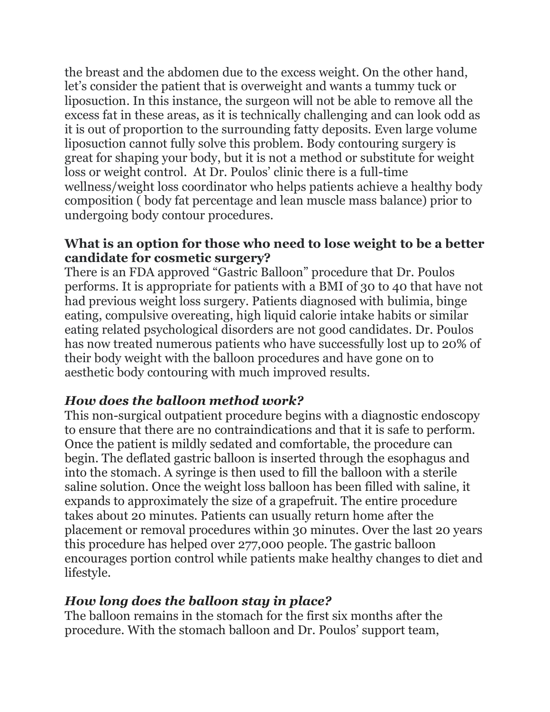the breast and the abdomen due to the excess weight. On the other hand, let's consider the patient that is overweight and wants a tummy tuck or liposuction. In this instance, the surgeon will not be able to remove all the excess fat in these areas, as it is technically challenging and can look odd as it is out of proportion to the surrounding fatty deposits. Even large volume liposuction cannot fully solve this problem. Body contouring surgery is great for shaping your body, but it is not a method or substitute for weight loss or weight control. At Dr. Poulos' clinic there is a full-time wellness/weight loss coordinator who helps patients achieve a healthy body composition ( body fat percentage and lean muscle mass balance) prior to undergoing body contour procedures.

#### **What is an option for those who need to lose weight to be a better candidate for cosmetic surgery?**

There is an FDA approved "Gastric Balloon" procedure that Dr. Poulos performs. It is appropriate for patients with a BMI of 30 to 40 that have not had previous weight loss surgery. Patients diagnosed with bulimia, binge eating, compulsive overeating, high liquid calorie intake habits or similar eating related psychological disorders are not good candidates. Dr. Poulos has now treated numerous patients who have successfully lost up to 20% of their body weight with the balloon procedures and have gone on to aesthetic body contouring with much improved results.

### *How does the balloon method work?*

This non-surgical outpatient procedure begins with a diagnostic endoscopy to ensure that there are no contraindications and that it is safe to perform. Once the patient is mildly sedated and comfortable, the procedure can begin. The deflated gastric balloon is inserted through the esophagus and into the stomach. A syringe is then used to fill the balloon with a sterile saline solution. Once the weight loss balloon has been filled with saline, it expands to approximately the size of a grapefruit. The entire procedure takes about 20 minutes. Patients can usually return home after the placement or removal procedures within 30 minutes. Over the last 20 years this procedure has helped over 277,000 people. The gastric balloon encourages portion control while patients make healthy changes to diet and lifestyle.

#### *How long does the balloon stay in place?*

The balloon remains in the stomach for the first six months after the procedure. With the stomach balloon and Dr. Poulos' support team,